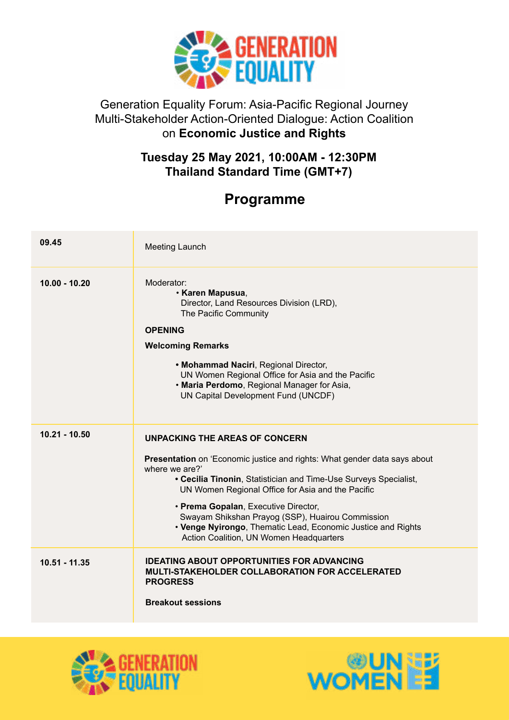

## Generation Equality Forum: Asia-Pacific Regional Journey Multi-Stakeholder Action-Oriented Dialogue: Action Coalition on **Economic Justice and Rights**

## **Tuesday 25 May 2021, 10:00AM - 12:30PM Thailand Standard Time (GMT+7)**

## **Programme**

| 09.45           | Meeting Launch                                                                                                                                                                                                                                                                                                                                                                                                                                                       |
|-----------------|----------------------------------------------------------------------------------------------------------------------------------------------------------------------------------------------------------------------------------------------------------------------------------------------------------------------------------------------------------------------------------------------------------------------------------------------------------------------|
| $10.00 - 10.20$ | Moderator:<br><b>· Karen Mapusua,</b><br>Director, Land Resources Division (LRD),<br>The Pacific Community<br><b>OPENING</b><br><b>Welcoming Remarks</b><br>• Mohammad Naciri, Regional Director,<br>UN Women Regional Office for Asia and the Pacific<br>. Maria Perdomo, Regional Manager for Asia,<br>UN Capital Development Fund (UNCDF)                                                                                                                         |
| $10.21 - 10.50$ | <b>UNPACKING THE AREAS OF CONCERN</b><br>Presentation on 'Economic justice and rights: What gender data says about<br>where we are?'<br>• Cecilia Tinonin, Statistician and Time-Use Surveys Specialist,<br>UN Women Regional Office for Asia and the Pacific<br>• Prema Gopalan, Executive Director,<br>Swayam Shikshan Prayog (SSP), Huairou Commission<br>• Venge Nyirongo, Thematic Lead, Economic Justice and Rights<br>Action Coalition, UN Women Headquarters |
| 10.51 - 11.35   | <b>IDEATING ABOUT OPPORTUNITIES FOR ADVANCING</b><br><b>MULTI-STAKEHOLDER COLLABORATION FOR ACCELERATED</b><br><b>PROGRESS</b><br><b>Breakout sessions</b>                                                                                                                                                                                                                                                                                                           |